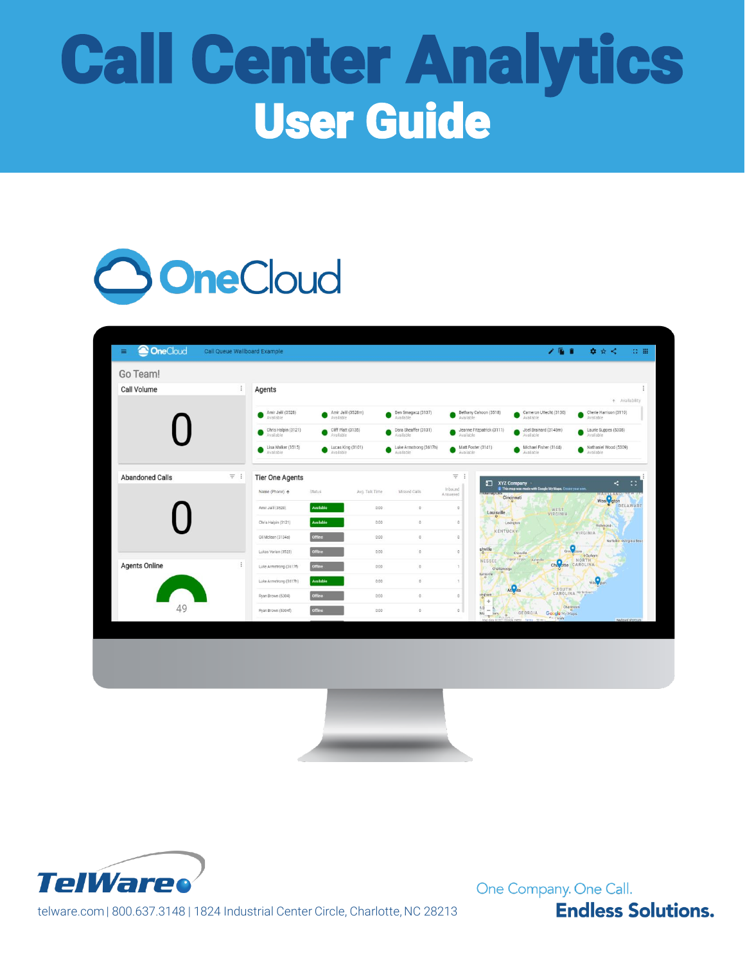# Call Center Analytics User Guide



| Call Volume<br>÷<br>ł<br>Agents<br>+ Availability<br>Amir Jalil (3528)<br>Amir Jalil (3528m)<br>Ben Smagacz (3137)<br>Bethany Cahoon (3518)<br>Cameron Uttecht (3130)<br>Cherie Harrison (3119)<br>●<br>Available<br>Available<br>Available<br>Available<br>Available<br>Available<br>Cliff Platt (3135)<br>Dara Sheaffer (3131)<br>Joel Brainard (3148m)<br>Laurie Suppes (5308)<br>Chris Halpin (3121)<br>Jeanne Fitzpatrick (3111)<br>Available<br>Available<br>Available<br>Available<br>Available<br>Available<br>Lisa Walker (3515)<br>Lucas King (3101)<br>Luke Armstrong (3617h)<br>Matt Foster (3141)<br>Michael Fisher (3144)<br>Nathaniel Wood (5309)<br>Available<br>Available<br>Available<br>Available<br>Available<br>Available<br>$=$ :<br><b>Abandoned Calls</b><br>$\equiv$<br>$\ddot{\ddot{\cdot}}$<br><b>Tier One Agents</b><br>$\mathbb{Z}^2$<br>k,<br>XYZ Company<br>This map was made with Google My Maps. Create your own.<br>Inbound<br>Name (Phone) 个<br>Status<br>Avg. Talk Time<br>Missed Calls<br>Answered<br>Was Coton<br>Cincinnati<br>DELAWARE<br>Available<br>0:00<br>$\mathbb O$<br>Amir Jalii (3528)<br>$\mathbb{O}$<br>WEST<br>VIRGINIA<br>Louisville<br>$\circ$<br>$\circ$<br>Available<br>$\mathbb{O}$<br>0.00<br>$\,$ 0 $\,$<br>Chris Halpin (3121)<br>Lexington<br>Richmond<br>KENTUCKY<br>VIRGINIA<br>offline<br>$\mathbb{O}$<br>0:00<br>$\hbox{O}$<br>Gil Mclean (3134a)<br>Norfolko oVirginia Beac<br>o<br>shville<br>0.00<br>$\mathbb O$<br>$\circ$<br>Gree Aboro<br>Lukas Varian (3523)<br>Knoxville<br><b><i><u>oDurham</u></i></b><br>Pigeon Forges Asheville<br>NORTH<br><b>NESSEE</b><br>Cha otte CAROLINA<br><b>Agents Online</b><br>÷<br>Offline<br>$\mathbb{O}$<br>Luke Armstrong (3617f)<br>0:00<br>$\mathbf{1}$<br>Chattanooga<br>funtsville<br>Available<br>Luke Armstrong (3617h)<br>$\Box$<br>0.00<br>$\mathbf{1}$<br>Atlanta<br>SOUTH<br>CAROLINA Mythe Bear<br>ingham<br>$\circ$<br>$\mathbb{O}$<br>Offline<br>0:00<br>Ryan Brown (5304)<br>$\ddot{\phantom{1}}$<br>49<br>Charleston<br>$\frac{1}{2}$<br>$\circ$<br>Ryan Brown (5304f)<br>0:00<br>O<br>i.<br>Mo <sub>D</sub><br>GEORGIA<br>Google My Maps<br>hery.<br>$\mathcal{P}$ .<br>"Than<br>a notro Tarma fill auf<br>Keyboard shortouts<br>Map data 020 | Go Team! |  |  |  |  |  |
|---------------------------------------------------------------------------------------------------------------------------------------------------------------------------------------------------------------------------------------------------------------------------------------------------------------------------------------------------------------------------------------------------------------------------------------------------------------------------------------------------------------------------------------------------------------------------------------------------------------------------------------------------------------------------------------------------------------------------------------------------------------------------------------------------------------------------------------------------------------------------------------------------------------------------------------------------------------------------------------------------------------------------------------------------------------------------------------------------------------------------------------------------------------------------------------------------------------------------------------------------------------------------------------------------------------------------------------------------------------------------------------------------------------------------------------------------------------------------------------------------------------------------------------------------------------------------------------------------------------------------------------------------------------------------------------------------------------------------------------------------------------------------------------------------------------------------------------------------------------------------------------------------------------------------------------------------------------------------------------------------------------------------------------------------------------------------------------------------------------------------------------------------------------------------------------------------------------------------------------------------------------------------|----------|--|--|--|--|--|
|                                                                                                                                                                                                                                                                                                                                                                                                                                                                                                                                                                                                                                                                                                                                                                                                                                                                                                                                                                                                                                                                                                                                                                                                                                                                                                                                                                                                                                                                                                                                                                                                                                                                                                                                                                                                                                                                                                                                                                                                                                                                                                                                                                                                                                                                           |          |  |  |  |  |  |
|                                                                                                                                                                                                                                                                                                                                                                                                                                                                                                                                                                                                                                                                                                                                                                                                                                                                                                                                                                                                                                                                                                                                                                                                                                                                                                                                                                                                                                                                                                                                                                                                                                                                                                                                                                                                                                                                                                                                                                                                                                                                                                                                                                                                                                                                           |          |  |  |  |  |  |
|                                                                                                                                                                                                                                                                                                                                                                                                                                                                                                                                                                                                                                                                                                                                                                                                                                                                                                                                                                                                                                                                                                                                                                                                                                                                                                                                                                                                                                                                                                                                                                                                                                                                                                                                                                                                                                                                                                                                                                                                                                                                                                                                                                                                                                                                           |          |  |  |  |  |  |
|                                                                                                                                                                                                                                                                                                                                                                                                                                                                                                                                                                                                                                                                                                                                                                                                                                                                                                                                                                                                                                                                                                                                                                                                                                                                                                                                                                                                                                                                                                                                                                                                                                                                                                                                                                                                                                                                                                                                                                                                                                                                                                                                                                                                                                                                           |          |  |  |  |  |  |
|                                                                                                                                                                                                                                                                                                                                                                                                                                                                                                                                                                                                                                                                                                                                                                                                                                                                                                                                                                                                                                                                                                                                                                                                                                                                                                                                                                                                                                                                                                                                                                                                                                                                                                                                                                                                                                                                                                                                                                                                                                                                                                                                                                                                                                                                           |          |  |  |  |  |  |
|                                                                                                                                                                                                                                                                                                                                                                                                                                                                                                                                                                                                                                                                                                                                                                                                                                                                                                                                                                                                                                                                                                                                                                                                                                                                                                                                                                                                                                                                                                                                                                                                                                                                                                                                                                                                                                                                                                                                                                                                                                                                                                                                                                                                                                                                           |          |  |  |  |  |  |
|                                                                                                                                                                                                                                                                                                                                                                                                                                                                                                                                                                                                                                                                                                                                                                                                                                                                                                                                                                                                                                                                                                                                                                                                                                                                                                                                                                                                                                                                                                                                                                                                                                                                                                                                                                                                                                                                                                                                                                                                                                                                                                                                                                                                                                                                           |          |  |  |  |  |  |
|                                                                                                                                                                                                                                                                                                                                                                                                                                                                                                                                                                                                                                                                                                                                                                                                                                                                                                                                                                                                                                                                                                                                                                                                                                                                                                                                                                                                                                                                                                                                                                                                                                                                                                                                                                                                                                                                                                                                                                                                                                                                                                                                                                                                                                                                           |          |  |  |  |  |  |
|                                                                                                                                                                                                                                                                                                                                                                                                                                                                                                                                                                                                                                                                                                                                                                                                                                                                                                                                                                                                                                                                                                                                                                                                                                                                                                                                                                                                                                                                                                                                                                                                                                                                                                                                                                                                                                                                                                                                                                                                                                                                                                                                                                                                                                                                           |          |  |  |  |  |  |
|                                                                                                                                                                                                                                                                                                                                                                                                                                                                                                                                                                                                                                                                                                                                                                                                                                                                                                                                                                                                                                                                                                                                                                                                                                                                                                                                                                                                                                                                                                                                                                                                                                                                                                                                                                                                                                                                                                                                                                                                                                                                                                                                                                                                                                                                           |          |  |  |  |  |  |
|                                                                                                                                                                                                                                                                                                                                                                                                                                                                                                                                                                                                                                                                                                                                                                                                                                                                                                                                                                                                                                                                                                                                                                                                                                                                                                                                                                                                                                                                                                                                                                                                                                                                                                                                                                                                                                                                                                                                                                                                                                                                                                                                                                                                                                                                           |          |  |  |  |  |  |
|                                                                                                                                                                                                                                                                                                                                                                                                                                                                                                                                                                                                                                                                                                                                                                                                                                                                                                                                                                                                                                                                                                                                                                                                                                                                                                                                                                                                                                                                                                                                                                                                                                                                                                                                                                                                                                                                                                                                                                                                                                                                                                                                                                                                                                                                           |          |  |  |  |  |  |
|                                                                                                                                                                                                                                                                                                                                                                                                                                                                                                                                                                                                                                                                                                                                                                                                                                                                                                                                                                                                                                                                                                                                                                                                                                                                                                                                                                                                                                                                                                                                                                                                                                                                                                                                                                                                                                                                                                                                                                                                                                                                                                                                                                                                                                                                           |          |  |  |  |  |  |
|                                                                                                                                                                                                                                                                                                                                                                                                                                                                                                                                                                                                                                                                                                                                                                                                                                                                                                                                                                                                                                                                                                                                                                                                                                                                                                                                                                                                                                                                                                                                                                                                                                                                                                                                                                                                                                                                                                                                                                                                                                                                                                                                                                                                                                                                           |          |  |  |  |  |  |
|                                                                                                                                                                                                                                                                                                                                                                                                                                                                                                                                                                                                                                                                                                                                                                                                                                                                                                                                                                                                                                                                                                                                                                                                                                                                                                                                                                                                                                                                                                                                                                                                                                                                                                                                                                                                                                                                                                                                                                                                                                                                                                                                                                                                                                                                           |          |  |  |  |  |  |
|                                                                                                                                                                                                                                                                                                                                                                                                                                                                                                                                                                                                                                                                                                                                                                                                                                                                                                                                                                                                                                                                                                                                                                                                                                                                                                                                                                                                                                                                                                                                                                                                                                                                                                                                                                                                                                                                                                                                                                                                                                                                                                                                                                                                                                                                           |          |  |  |  |  |  |





telware.com | 800.637.3148 | 1824 Industrial Center Circle, Charlotte, NC 28213

One Company. One Call.

**Endless Solutions.**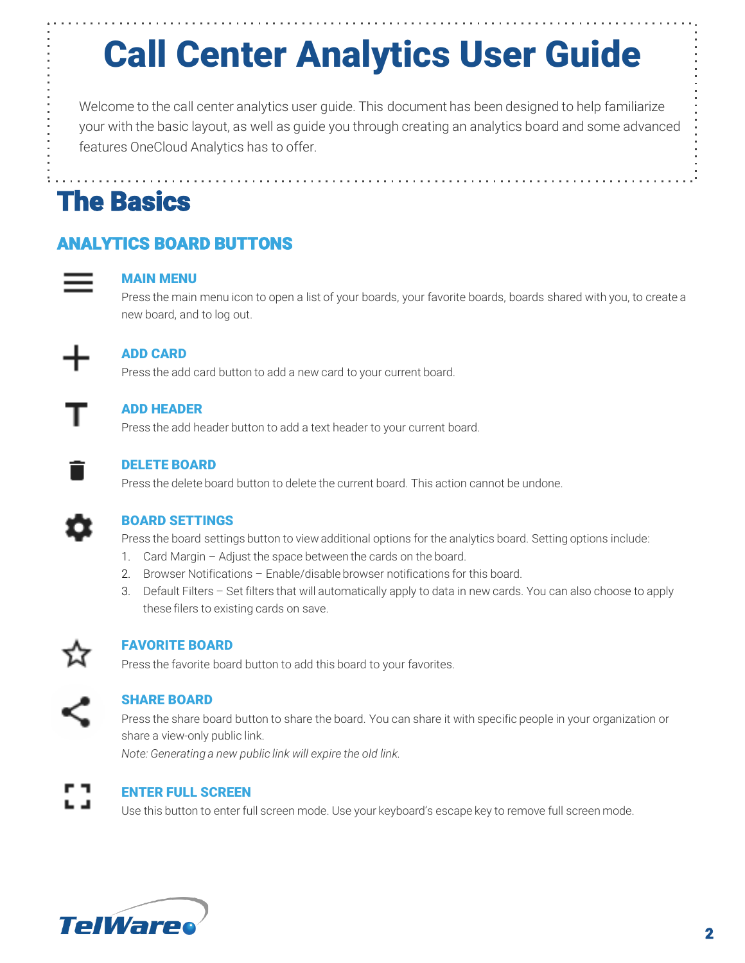# Call Center Analytics User Guide

Welcome to the call center analytics user guide. This document has been designed to help familiarize your with the basic layout, as well as guide you through creating an analytics board and some advanced features OneCloud Analytics has to offer.

The Basics

### ANALYTICS BOARD BUTTONS



#### MAIN MENU

Press the main menu icon to open a list of your boards, your favorite boards, boards shared with you, to create a new board, and to log out.



#### ADD CARD

Press the add card button to add a new card to your current board.

#### ADD HEADER

Press the add header button to add a text header to your current board.



#### DELETE BOARD

Press the delete board button to delete the current board. This action cannot be undone.



#### BOARD SETTINGS

Press the board settings button to view additional options for the analytics board. Setting options include:

- 1. Card Margin Adjust the space between the cards on the board.
- 2. Browser Notifications Enable/disable browser notifications for this board.
- 3. Default Filters Set filters that will automatically apply to data in new cards. You can also choose to apply these filers to existing cards on save.



#### FAVORITE BOARD

Press the favorite board button to add this board to your favorites.



#### SHARE BOARD

Press the share board button to share the board. You can share it with specific people in your organization or share a view-only public link.

*Note: Generating a new public link will expire the old link.* 



#### ENTER FULL SCREEN

Use this button to enter full screen mode. Use your keyboard's escape key to remove full screen mode.

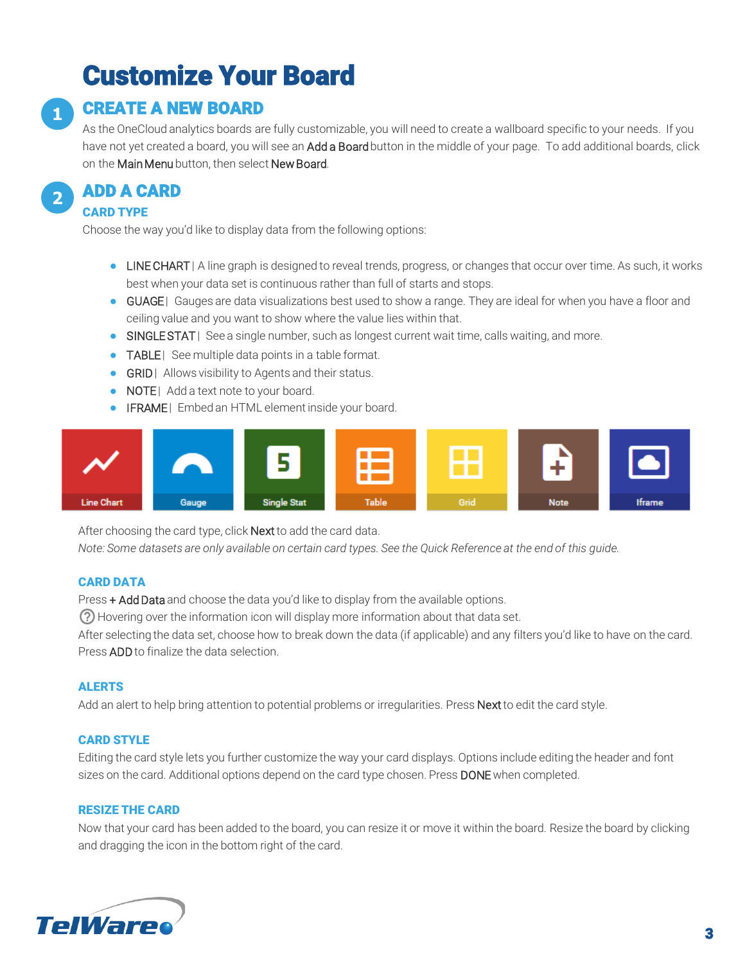# Customize Your Board



### CREATE A NEW BOARD

As the OneCloud analytics boards are fully customizable, you will need to create a wallboard specific to your needs. If you have not yet created a board, you will see an Add a Board button in the middle of your page. To add additional boards, click on the Main Menu button, then select New Board.

**2** ADD A CARD

#### CARD TYPE

Choose the way you'd like to display data from the following options:

- LINE CHART | A line graph is designed to reveal trends, progress, or changes that occur over time. As such, it works best when your data set is continuous rather than full of starts and stops.
- GUAGE | Gauges are data visualizations best used to show a range. They are ideal for when you have a floor and ceiling value and you want to show where the value lies within that.
- SINGLE STAT | See a single number, such as longest current wait time, calls waiting, and more.
- TABLE | See multiple data points in a table format.
- GRID | Allows visibility to Agents and their status.
- NOTE | Add a text note to your board.
- **IFRAME** | Embed an HTML element inside your board.



After choosing the card type, click **Next** to add the card data.

*Note: Some datasets are only available on certain card types. See the Quick Reference at the end of this guide.*

#### CARD DATA

Press + Add Data and choose the data you'd like to display from the available options.

Hovering over the information icon will display more information about that data set.

After selecting the data set, choose how to break down the data (if applicable) and any filters you'd like to have on the card. Press ADDto finalize the data selection.

#### ALERTS

Add an alert to help bring attention to potential problems or irregularities. Press Next to edit the card style.

#### CARD STYLE

Editing the card style lets you further customize the way your card displays. Options include editing the header and font sizes on the card. Additional options depend on the card type chosen. Press DONE when completed.

#### RESIZE THE CARD

Now that your card has been added to the board, you can resize it or move it within the board. Resize the board by clicking and dragging the icon in the bottom right of the card.